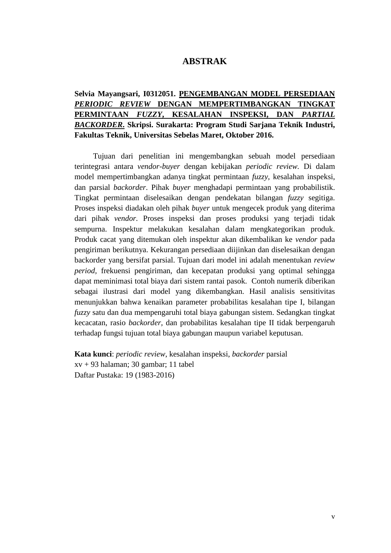## **ABSTRAK**

## **Selvia Mayangsari, I0312051. PENGEMBANGAN MODEL PERSEDIAAN**  *PERIODIC REVIEW* **DENGAN MEMPERTIMBANGKAN TINGKAT PERMINTAAN** *FUZZY***, KESALAHAN INSPEKSI, DAN** *PARTIAL BACKORDER***. Skripsi. Surakarta: Program Studi Sarjana Teknik Industri, Fakultas Teknik, Universitas Sebelas Maret, Oktober 2016.**

Tujuan dari penelitian ini mengembangkan sebuah model persediaan terintegrasi antara *vendor-buyer* dengan kebijakan *periodic review.* Di dalam model mempertimbangkan adanya tingkat permintaan *fuzzy*, kesalahan inspeksi, dan parsial *backorder*. Pihak *buyer* menghadapi permintaan yang probabilistik. Tingkat permintaan diselesaikan dengan pendekatan bilangan *fuzzy* segitiga. Proses inspeksi diadakan oleh pihak *buyer* untuk mengecek produk yang diterima dari pihak *vendor.* Proses inspeksi dan proses produksi yang terjadi tidak sempurna. Inspektur melakukan kesalahan dalam mengkategorikan produk. Produk cacat yang ditemukan oleh inspektur akan dikembalikan ke *vendor* pada pengiriman berikutnya. Kekurangan persediaan diijinkan dan diselesaikan dengan backorder yang bersifat parsial. Tujuan dari model ini adalah menentukan *review period,* frekuensi pengiriman, dan kecepatan produksi yang optimal sehingga dapat meminimasi total biaya dari sistem rantai pasok. Contoh numerik diberikan sebagai ilustrasi dari model yang dikembangkan. Hasil analisis sensitivitas menunjukkan bahwa kenaikan parameter probabilitas kesalahan tipe I, bilangan *fuzzy* satu dan dua mempengaruhi total biaya gabungan sistem. Sedangkan tingkat kecacatan, rasio *backorder,* dan probabilitas kesalahan tipe II tidak berpengaruh terhadap fungsi tujuan total biaya gabungan maupun variabel keputusan.

**Kata kunci**: *periodic review*, kesalahan inspeksi, *backorder* parsial xv + 93 halaman; 30 gambar; 11 tabel Daftar Pustaka: 19 (1983-2016)